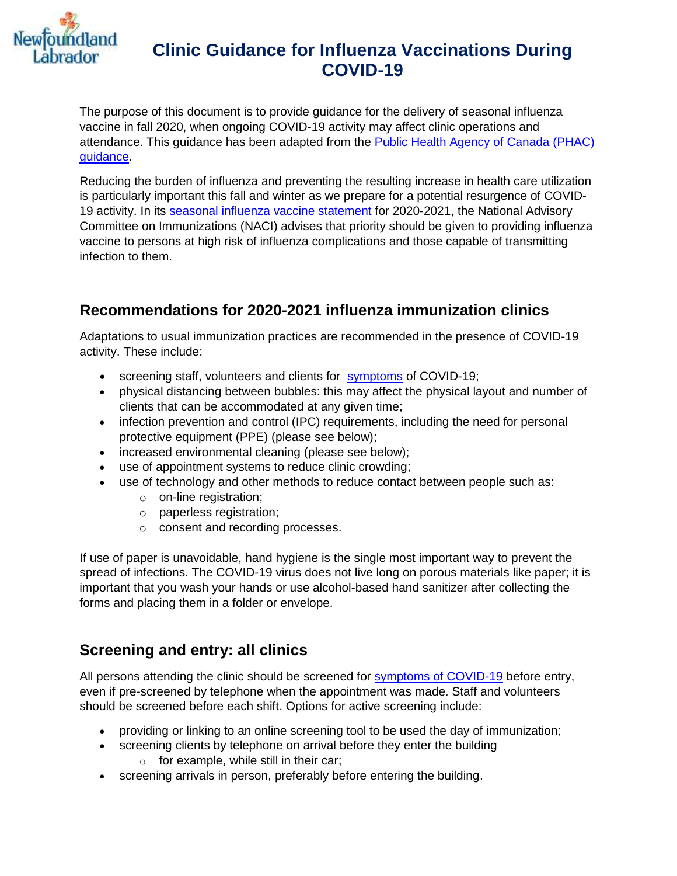

The purpose of this document is to provide guidance for the delivery of seasonal influenza vaccine in fall 2020, when ongoing COVID-19 activity may affect clinic operations and attendance. This guidance has been adapted from the [Public Health Agency of Canada \(PHAC\)](https://www.canada.ca/en/public-health/services/immunization/national-advisory-committee-on-immunization-naci/guidance-influenza-vaccine-delivery-covid-19.html#a32)  [guidance.](https://www.canada.ca/en/public-health/services/immunization/national-advisory-committee-on-immunization-naci/guidance-influenza-vaccine-delivery-covid-19.html#a32)

Reducing the burden of influenza and preventing the resulting increase in health care utilization is particularly important this fall and winter as we prepare for a potential resurgence of COVID-19 activity. In its [seasonal influenza vaccine statement](https://www.canada.ca/en/public-health/services/publications/vaccines-immunization/canadian-immunization-guide-statement-seasonal-influenza-vaccine-2020-2021.html) for 2020-2021, the National Advisory Committee on Immunizations (NACI) advises that priority should be given to providing influenza vaccine to persons at high risk of influenza complications and those capable of transmitting infection to them.

## **Recommendations for 2020-2021 influenza immunization clinics**

Adaptations to usual immunization practices are recommended in the presence of COVID-19 activity. These include:

- screening staff, volunteers and clients for [symptoms](https://www.gov.nl.ca/covid-19/covid-19-symptoms-treatment/) of COVID-19;
- physical distancing between bubbles: this may affect the physical layout and number of clients that can be accommodated at any given time;
- infection prevention and control (IPC) requirements, including the need for personal protective equipment (PPE) (please see below);
- increased environmental cleaning (please see below);
- use of appointment systems to reduce clinic crowding;
- use of technology and other methods to reduce contact between people such as:
	- o on-line registration;
	- o paperless registration;
	- o consent and recording processes.

If use of paper is unavoidable, hand hygiene is the single most important way to prevent the spread of infections. The COVID-19 virus does not live long on porous materials like paper; it is important that you wash your hands or use alcohol-based hand sanitizer after collecting the forms and placing them in a folder or envelope.

#### **Screening and entry: all clinics**

All persons attending the clinic should be screened for [symptoms of COVID-19](https://www.gov.nl.ca/covid-19/covid-19-symptoms-treatment/) before entry, even if pre-screened by telephone when the appointment was made. Staff and volunteers should be screened before each shift. Options for active screening include:

- providing or linking to an online screening tool to be used the day of immunization;
- screening clients by telephone on arrival before they enter the building o for example, while still in their car;
- screening arrivals in person, preferably before entering the building.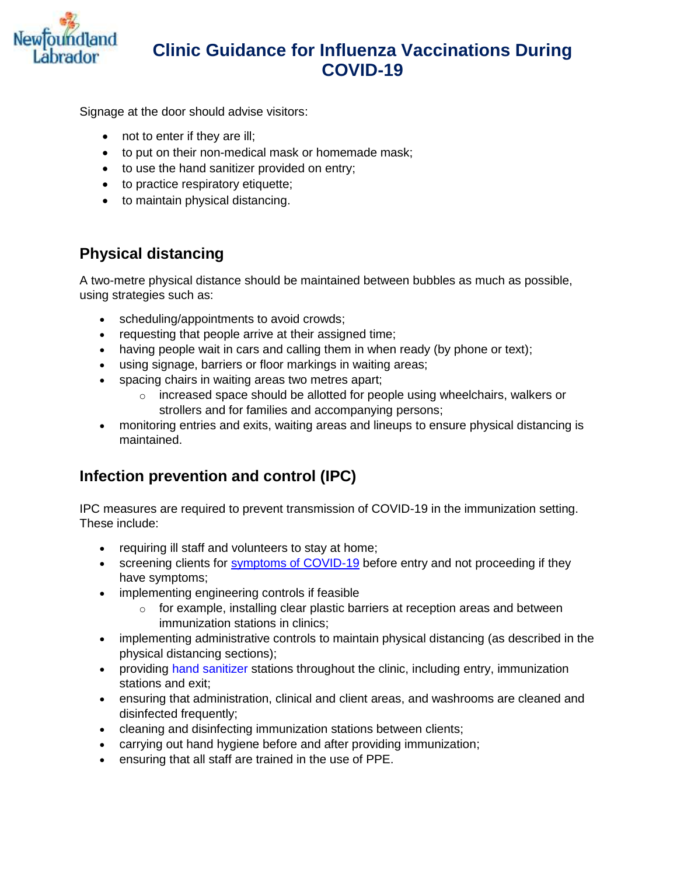

Signage at the door should advise visitors:

- not to enter if they are ill;
- to put on their non-medical mask or homemade mask;
- to use the hand sanitizer provided on entry;
- to practice respiratory etiquette;
- to maintain physical distancing.

## **Physical distancing**

A two-metre physical distance should be maintained between bubbles as much as possible, using strategies such as:

- scheduling/appointments to avoid crowds;
- requesting that people arrive at their assigned time;
- having people wait in cars and calling them in when ready (by phone or text);
- using signage, barriers or floor markings in waiting areas;
- spacing chairs in waiting areas two metres apart;
	- $\circ$  increased space should be allotted for people using wheelchairs, walkers or strollers and for families and accompanying persons;
- monitoring entries and exits, waiting areas and lineups to ensure physical distancing is maintained.

## **Infection prevention and control (IPC)**

IPC measures are required to prevent transmission of COVID-19 in the immunization setting. These include:

- requiring ill staff and volunteers to stay at home;
- screening clients for [symptoms of COVID-19](https://www.gov.nl.ca/covid-19/covid-19-symptoms-treatment/) before entry and not proceeding if they have symptoms;
- implementing engineering controls if feasible
	- o for example, installing clear plastic barriers at reception areas and between immunization stations in clinics;
- implementing administrative controls to maintain physical distancing (as described in the physical distancing sections);
- providing [hand sanitizer](https://www.canada.ca/en/health-canada/services/drugs-health-products/disinfectants/covid-19/hand-sanitizer.html) stations throughout the clinic, including entry, immunization stations and exit;
- ensuring that administration, clinical and client areas, and washrooms are cleaned and disinfected frequently;
- cleaning and disinfecting immunization stations between clients;
- carrying out hand hygiene before and after providing immunization;
- ensuring that all staff are trained in the use of PPE.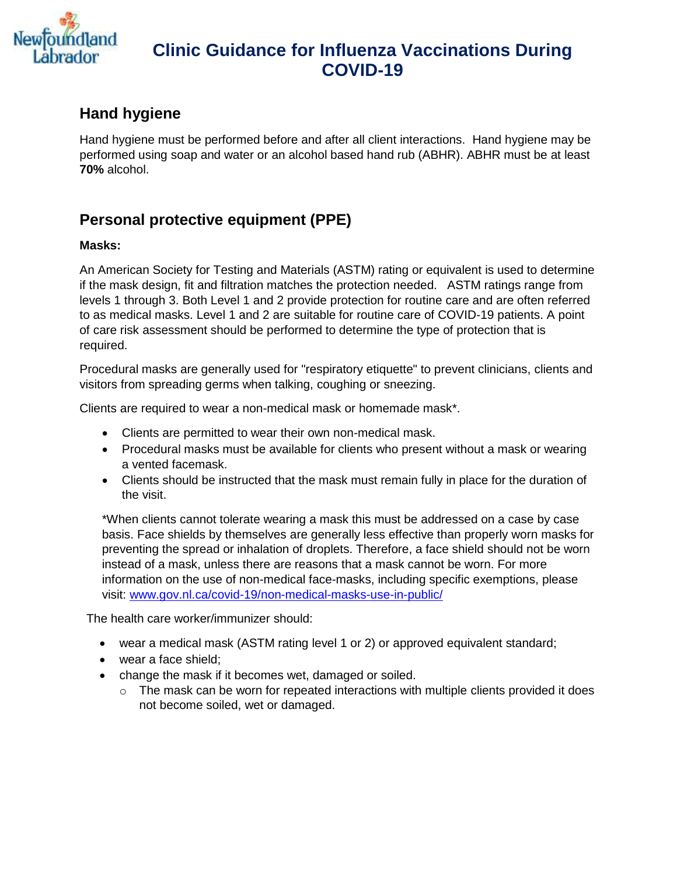

#### **Hand hygiene**

Hand hygiene must be performed before and after all client interactions. Hand hygiene may be performed using soap and water or an alcohol based hand rub (ABHR). ABHR must be at least **70%** alcohol.

## **Personal protective equipment (PPE)**

#### **Masks:**

An American Society for Testing and Materials (ASTM) rating or equivalent is used to determine if the mask design, fit and filtration matches the protection needed. ASTM ratings range from levels 1 through 3. Both Level 1 and 2 provide protection for routine care and are often referred to as medical masks. Level 1 and 2 are suitable for routine care of COVID-19 patients. A point of care risk assessment should be performed to determine the type of protection that is required.

Procedural masks are generally used for "respiratory etiquette" to prevent clinicians, clients and visitors from spreading germs when talking, coughing or sneezing.

Clients are required to wear a non-medical mask or homemade mask\*.

- Clients are permitted to wear their own non-medical mask.
- Procedural masks must be available for clients who present without a mask or wearing a vented facemask.
- Clients should be instructed that the mask must remain fully in place for the duration of the visit.

\*When clients cannot tolerate wearing a mask this must be addressed on a case by case basis. Face shields by themselves are generally less effective than properly worn masks for preventing the spread or inhalation of droplets. Therefore, a face shield should not be worn instead of a mask, unless there are reasons that a mask cannot be worn. For more information on the use of non-medical face-masks, including specific exemptions, please visit: [www.gov.nl.ca/covid-19/non-medical-masks-use-in-public/](http://www.gov.nl.ca/covid-19/non-medical-masks-use-in-public/)

The health care worker/immunizer should:

- wear a medical mask (ASTM rating level 1 or 2) or approved equivalent standard;
- wear a face shield:
- change the mask if it becomes wet, damaged or soiled.
	- $\circ$  The mask can be worn for repeated interactions with multiple clients provided it does not become soiled, wet or damaged.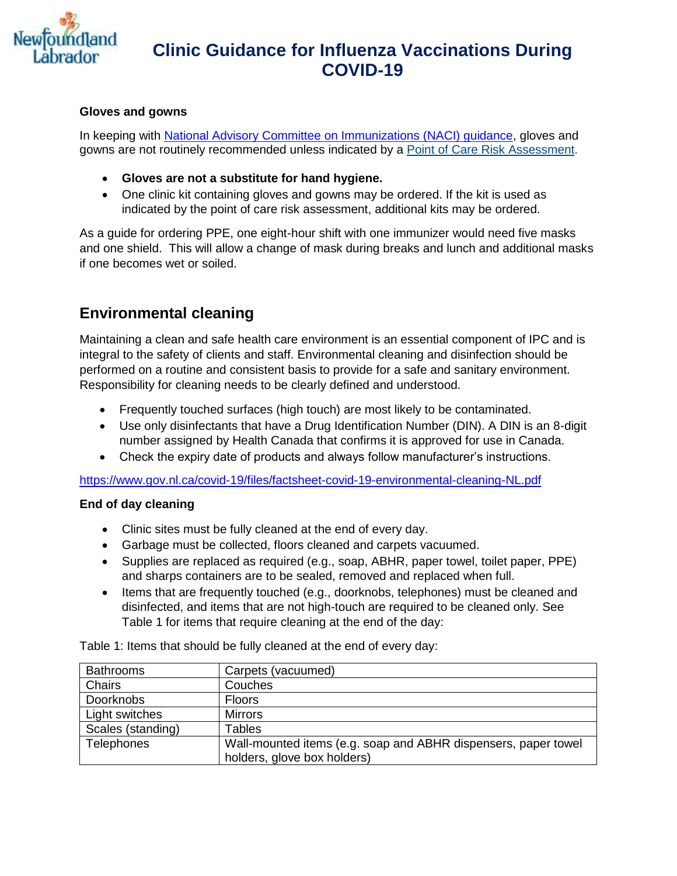

#### **Gloves and gowns**

In keeping with [National Advisory Committee on Immunizations \(NACI\) guidance,](https://www.canada.ca/en/public-health/services/immunization/national-advisory-committee-on-immunization-naci/guidance-influenza-vaccine-delivery-covid-19.html) gloves and gowns are not routinely recommended unless indicated by a Point of [Care Risk Assessment.](https://www.gov.nl.ca/covid-19/files/POC-Risk-Assessment.pdf)

- **Gloves are not a substitute for hand hygiene.**
- One clinic kit containing gloves and gowns may be ordered. If the kit is used as indicated by the point of care risk assessment, additional kits may be ordered.

As a guide for ordering PPE, one eight-hour shift with one immunizer would need five masks and one shield. This will allow a change of mask during breaks and lunch and additional masks if one becomes wet or soiled.

#### **Environmental cleaning**

Maintaining a clean and safe health care environment is an essential component of IPC and is integral to the safety of clients and staff. Environmental cleaning and disinfection should be performed on a routine and consistent basis to provide for a safe and sanitary environment. Responsibility for cleaning needs to be clearly defined and understood.

- Frequently touched surfaces (high touch) are most likely to be contaminated.
- Use only disinfectants that have a Drug Identification Number (DIN). A DIN is an 8-digit number assigned by Health Canada that confirms it is approved for use in Canada.
- Check the expiry date of products and always follow manufacturer's instructions.

<https://www.gov.nl.ca/covid-19/files/factsheet-covid-19-environmental-cleaning-NL.pdf>

#### **End of day cleaning**

- Clinic sites must be fully cleaned at the end of every day.
- Garbage must be collected, floors cleaned and carpets vacuumed.
- Supplies are replaced as required (e.g., soap, ABHR, paper towel, toilet paper, PPE) and sharps containers are to be sealed, removed and replaced when full.
- Items that are frequently touched (e.g., doorknobs, telephones) must be cleaned and disinfected, and items that are not high-touch are required to be cleaned only. See Table 1 for items that require cleaning at the end of the day:

Table 1: Items that should be fully cleaned at the end of every day:

| <b>Bathrooms</b>  | Carpets (vacuumed)                                                                            |
|-------------------|-----------------------------------------------------------------------------------------------|
| <b>Chairs</b>     | Couches                                                                                       |
| <b>Doorknobs</b>  | <b>Floors</b>                                                                                 |
| Light switches    | <b>Mirrors</b>                                                                                |
| Scales (standing) | <b>Tables</b>                                                                                 |
| Telephones        | Wall-mounted items (e.g. soap and ABHR dispensers, paper towel<br>holders, glove box holders) |